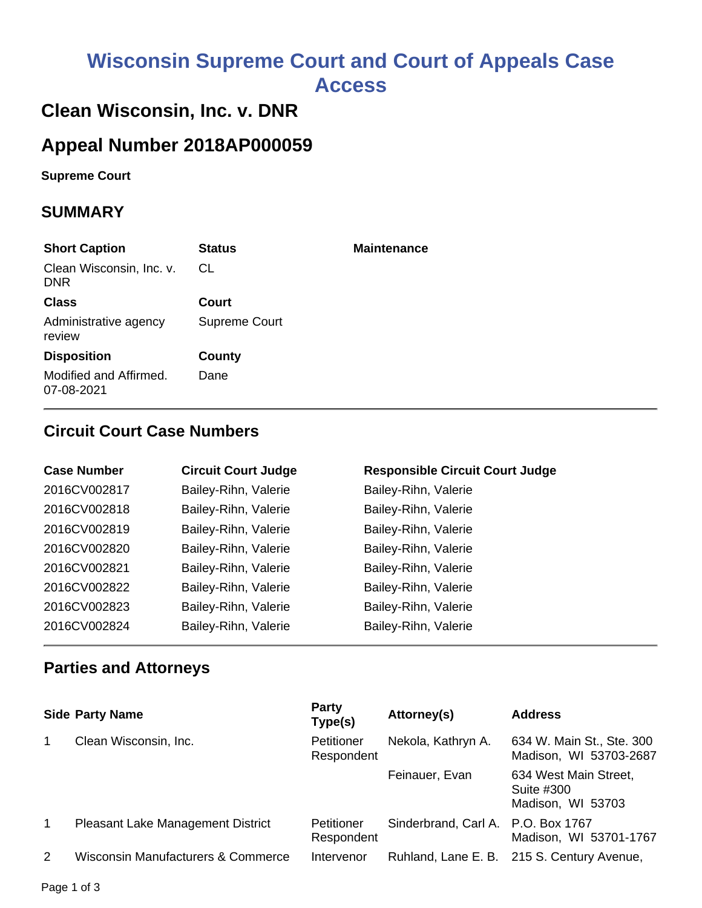# **Wisconsin Supreme Court and Court of Appeals Case Access**

## **Clean Wisconsin, Inc. v. DNR**

# **Appeal Number 2018AP000059**

**Supreme Court** 

#### **SUMMARY**

| <b>Short Caption</b>                   | <b>Status</b> | <b>Maintenance</b> |
|----------------------------------------|---------------|--------------------|
| Clean Wisconsin, Inc. v.<br><b>DNR</b> | CL.           |                    |
| <b>Class</b>                           | Court         |                    |
| Administrative agency<br>review        | Supreme Court |                    |
| <b>Disposition</b>                     | County        |                    |
| Modified and Affirmed.<br>07-08-2021   | Dane          |                    |

#### **Circuit Court Case Numbers**

| <b>Case Number</b> | <b>Circuit Court Judge</b> | <b>Responsible Circuit Court Judge</b> |
|--------------------|----------------------------|----------------------------------------|
| 2016CV002817       | Bailey-Rihn, Valerie       | Bailey-Rihn, Valerie                   |
| 2016CV002818       | Bailey-Rihn, Valerie       | Bailey-Rihn, Valerie                   |
| 2016CV002819       | Bailey-Rihn, Valerie       | Bailey-Rihn, Valerie                   |
| 2016CV002820       | Bailey-Rihn, Valerie       | Bailey-Rihn, Valerie                   |
| 2016CV002821       | Bailey-Rihn, Valerie       | Bailey-Rihn, Valerie                   |
| 2016CV002822       | Bailey-Rihn, Valerie       | Bailey-Rihn, Valerie                   |
| 2016CV002823       | Bailey-Rihn, Valerie       | Bailey-Rihn, Valerie                   |
| 2016CV002824       | Bailey-Rihn, Valerie       | Bailey-Rihn, Valerie                   |

#### **Parties and Attorneys**

|                | <b>Side Party Name</b>                   | Party<br>Type(s)         | Attorney(s)                        | <b>Address</b>                                           |
|----------------|------------------------------------------|--------------------------|------------------------------------|----------------------------------------------------------|
| 1              | Clean Wisconsin, Inc.                    | Petitioner<br>Respondent | Nekola, Kathryn A.                 | 634 W. Main St., Ste. 300<br>Madison, WI 53703-2687      |
|                |                                          |                          | Feinauer, Evan                     | 634 West Main Street,<br>Suite #300<br>Madison, WI 53703 |
| $\overline{1}$ | <b>Pleasant Lake Management District</b> | Petitioner<br>Respondent | Sinderbrand, Carl A. P.O. Box 1767 | Madison, WI 53701-1767                                   |
| 2              | Wisconsin Manufacturers & Commerce       | Intervenor               |                                    | Ruhland, Lane E. B. 215 S. Century Avenue,               |

Page 1 of 3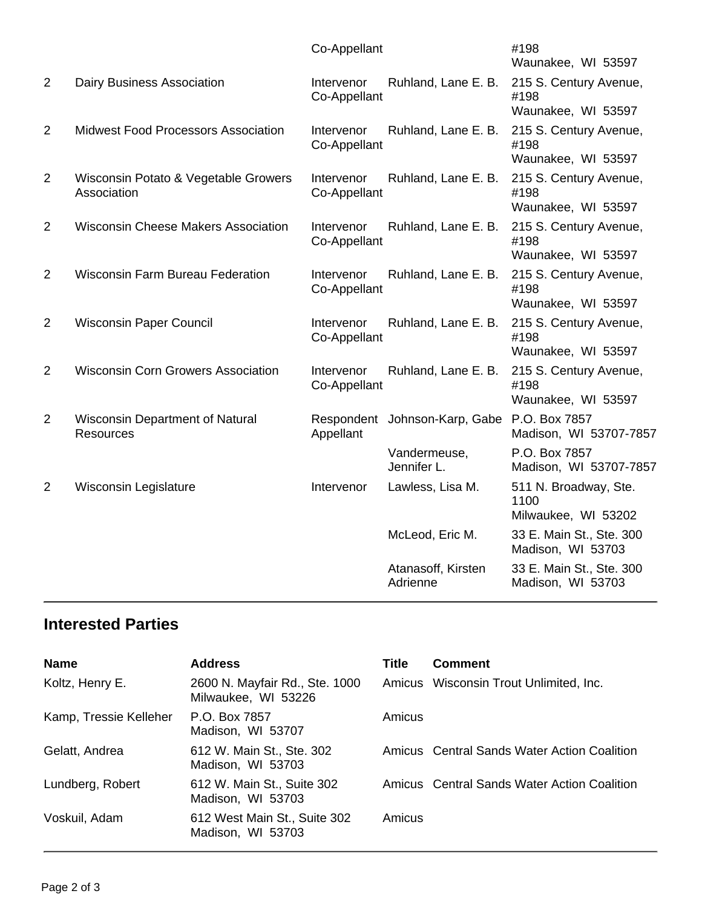|                |                                                            | Co-Appellant               |                                             | #198<br>Waunakee, WI 53597                           |
|----------------|------------------------------------------------------------|----------------------------|---------------------------------------------|------------------------------------------------------|
| 2              | <b>Dairy Business Association</b>                          | Intervenor<br>Co-Appellant | Ruhland, Lane E. B.                         | 215 S. Century Avenue,<br>#198<br>Waunakee, WI 53597 |
| 2              | <b>Midwest Food Processors Association</b>                 | Intervenor<br>Co-Appellant | Ruhland, Lane E. B.                         | 215 S. Century Avenue,<br>#198<br>Waunakee, WI 53597 |
| $\overline{2}$ | Wisconsin Potato & Vegetable Growers<br>Association        | Intervenor<br>Co-Appellant | Ruhland, Lane E. B.                         | 215 S. Century Avenue,<br>#198<br>Waunakee, WI 53597 |
| 2              | <b>Wisconsin Cheese Makers Association</b>                 | Intervenor<br>Co-Appellant | Ruhland, Lane E. B.                         | 215 S. Century Avenue,<br>#198<br>Waunakee, WI 53597 |
| 2              | <b>Wisconsin Farm Bureau Federation</b>                    | Intervenor<br>Co-Appellant | Ruhland, Lane E. B.                         | 215 S. Century Avenue,<br>#198<br>Waunakee, WI 53597 |
| $\overline{2}$ | <b>Wisconsin Paper Council</b>                             | Intervenor<br>Co-Appellant | Ruhland, Lane E. B.                         | 215 S. Century Avenue,<br>#198<br>Waunakee, WI 53597 |
| 2              | <b>Wisconsin Corn Growers Association</b>                  | Intervenor<br>Co-Appellant | Ruhland, Lane E. B.                         | 215 S. Century Avenue,<br>#198<br>Waunakee, WI 53597 |
| $\overline{2}$ | <b>Wisconsin Department of Natural</b><br><b>Resources</b> | Appellant                  | Respondent Johnson-Karp, Gabe P.O. Box 7857 | Madison, WI 53707-7857                               |
|                |                                                            |                            | Vandermeuse,<br>Jennifer L.                 | P.O. Box 7857<br>Madison, WI 53707-7857              |
| 2              | Wisconsin Legislature                                      | Intervenor                 | Lawless, Lisa M.                            | 511 N. Broadway, Ste.<br>1100<br>Milwaukee, WI 53202 |
|                |                                                            |                            | McLeod, Eric M.                             | 33 E. Main St., Ste. 300<br>Madison, WI 53703        |
|                |                                                            |                            | Atanasoff, Kirsten<br>Adrienne              | 33 E. Main St., Ste. 300<br>Madison, WI 53703        |
|                |                                                            |                            |                                             |                                                      |

#### **Interested Parties**

| <b>Name</b>            | <b>Address</b>                                        | <b>Title</b> | <b>Comment</b>                              |
|------------------------|-------------------------------------------------------|--------------|---------------------------------------------|
| Koltz, Henry E.        | 2600 N. Mayfair Rd., Ste. 1000<br>Milwaukee, WI 53226 |              | Amicus Wisconsin Trout Unlimited, Inc.      |
| Kamp, Tressie Kelleher | P.O. Box 7857<br>Madison, WI 53707                    | Amicus       |                                             |
| Gelatt, Andrea         | 612 W. Main St., Ste. 302<br>Madison, WI 53703        |              | Amicus Central Sands Water Action Coalition |
| Lundberg, Robert       | 612 W. Main St., Suite 302<br>Madison, WI 53703       |              | Amicus Central Sands Water Action Coalition |
| Voskuil, Adam          | 612 West Main St., Suite 302<br>Madison, WI 53703     | Amicus       |                                             |